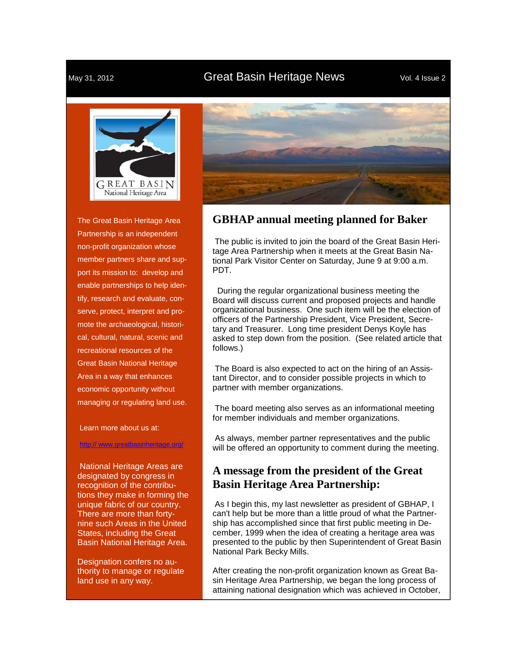#### May 31, 2012 **Great Basin Heritage News** Vol. 4 Issue 2



The Great Basin Heritage Area Partnership is an independent non-profit organization whose member partners share and support its mission to: develop and enable partnerships to help identify, research and evaluate, conserve, protect, interpret and promote the archaeological, historical, cultural, natural, scenic and recreational resources of the Great Basin National Heritage Area in a way that enhances economic opportunity without managing or regulating land use.

Learn more about us at:

#### http://www.greatbasinheritage.org/

National Heritage Areas are designated by congress in recognition of the contributions they make in forming the unique fabric of our country. There are more than fortynine such Areas in the United States, including the Great Basin National Heritage Area.

Designation confers no authority to manage or regulate land use in any way.



#### **GBHAP annual meeting planned for Baker**

The public is invited to join the board of the Great Basin Heritage Area Partnership when it meets at the Great Basin National Park Visitor Center on Saturday, June 9 at 9:00 a.m. PDT.

 During the regular organizational business meeting the Board will discuss current and proposed projects and handle organizational business. One such item will be the election of officers of the Partnership President, Vice President, Secretary and Treasurer. Long time president Denys Koyle has asked to step down from the position. (See related article that follows.)

 The Board is also expected to act on the hiring of an Assistant Director, and to consider possible projects in which to partner with member organizations.

 The board meeting also serves as an informational meeting for member individuals and member organizations.

 As always, member partner representatives and the public will be offered an opportunity to comment during the meeting.

#### **A message from the president of the Great Basin Heritage Area Partnership:**

As I begin this, my last newsletter as president of GBHAP, I can't help but be more than a little proud of what the Partnership has accomplished since that first public meeting in December, 1999 when the idea of creating a heritage area was presented to the public by then Superintendent of Great Basin National Park Becky Mills.

After creating the non-profit organization known as Great Basin Heritage Area Partnership, we began the long process of attaining national designation which was achieved in October,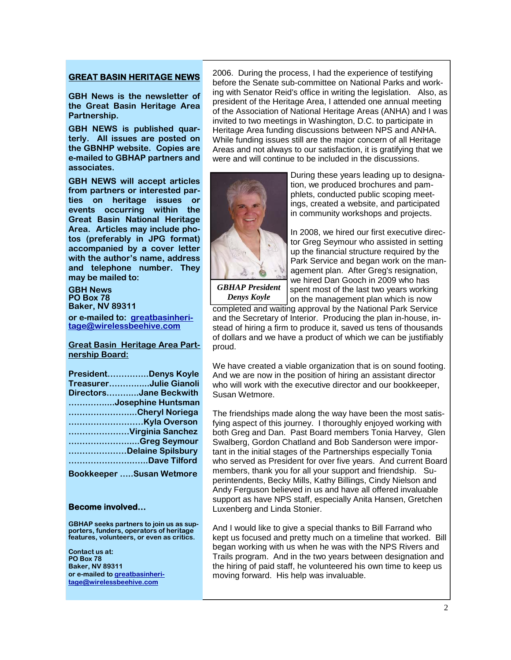#### **GREAT BASIN HERITAGE NEWS**

**GBH News is the newsletter of the Great Basin Heritage Area Partnership.** 

**GBH NEWS is published quarterly. All issues are posted on the GBNHP website. Copies are e-mailed to GBHAP partners and associates.** 

**GBH NEWS will accept articles from partners or interested parties on heritage issues or events occurring within the Great Basin National Heritage Area. Articles may include photos (preferably in JPG format) accompanied by a cover letter with the author's name, address and telephone number. They may be mailed to:** 

**GBH News PO Box 78 Baker, NV 89311** 

**or e-mailed to: greatbasinheritage@wirelessbeehive.com**

**Great Basin Heritage Area Partnership Board:**

| PresidentDenys Koyle            |
|---------------------------------|
| TreasurerJulie Gianoli          |
| DirectorsJane Beckwith          |
| Josephine Huntsman              |
| Cheryl Noriega                  |
|                                 |
| Virginia Sanchez                |
| Greg Seymour                    |
| Delaine Spilsbury               |
| Dave Tilford                    |
| <b>Bookkeeper Susan Wetmore</b> |

#### **Become involved…**

**GBHAP seeks partners to join us as supporters, funders, operators of heritage features, volunteers, or even as critics.** 

**Contact us at: PO Box 78 Baker, NV 89311 or e-mailed to greatbasinheritage@wirelessbeehive.com**

2006. During the process, I had the experience of testifying before the Senate sub-committee on National Parks and working with Senator Reid's office in writing the legislation. Also, as president of the Heritage Area, I attended one annual meeting of the Association of National Heritage Areas (ANHA) and I was invited to two meetings in Washington, D.C. to participate in Heritage Area funding discussions between NPS and ANHA. While funding issues still are the major concern of all Heritage Areas and not always to our satisfaction, it is gratifying that we were and will continue to be included in the discussions.



During these years leading up to designation, we produced brochures and pamphlets, conducted public scoping meetings, created a website, and participated in community workshops and projects.

In 2008, we hired our first executive director Greg Seymour who assisted in setting up the financial structure required by the Park Service and began work on the management plan. After Greg's resignation, we hired Dan Gooch in 2009 who has spent most of the last two years working on the management plan which is now

*GBHAP President Denys Koyle* 

completed and waiting approval by the National Park Service and the Secretary of Interior. Producing the plan in-house, instead of hiring a firm to produce it, saved us tens of thousands of dollars and we have a product of which we can be justifiably proud.

We have created a viable organization that is on sound footing. And we are now in the position of hiring an assistant director who will work with the executive director and our bookkeeper, Susan Wetmore.

The friendships made along the way have been the most satisfying aspect of this journey. I thoroughly enjoyed working with both Greg and Dan. Past Board members Tonia Harvey, Glen Swalberg, Gordon Chatland and Bob Sanderson were important in the initial stages of the Partnerships especially Tonia who served as President for over five years. And current Board members, thank you for all your support and friendship. Superintendents, Becky Mills, Kathy Billings, Cindy Nielson and Andy Ferguson believed in us and have all offered invaluable support as have NPS staff, especially Anita Hansen, Gretchen Luxenberg and Linda Stonier.

And I would like to give a special thanks to Bill Farrand who kept us focused and pretty much on a timeline that worked. Bill began working with us when he was with the NPS Rivers and Trails program. And in the two years between designation and the hiring of paid staff, he volunteered his own time to keep us moving forward. His help was invaluable.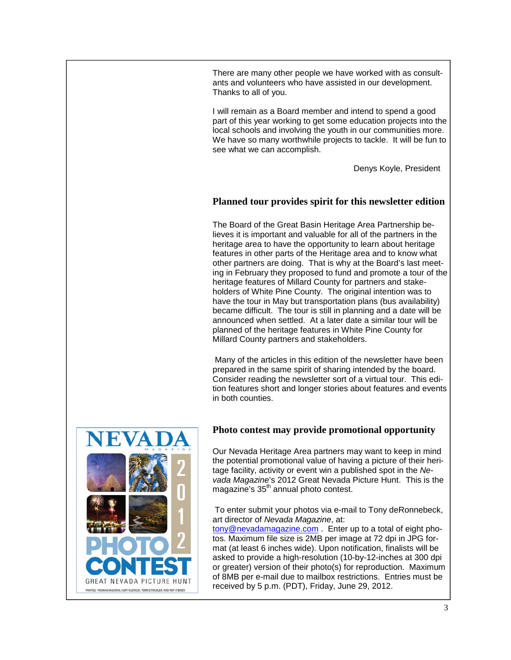There are many other people we have worked with as consultants and volunteers who have assisted in our development. Thanks to all of you.

I will remain as a Board member and intend to spend a good part of this year working to get some education projects into the local schools and involving the youth in our communities more. We have so many worthwhile projects to tackle. It will be fun to see what we can accomplish.

Denys Koyle, President

#### **Planned tour provides spirit for this newsletter edition**

The Board of the Great Basin Heritage Area Partnership believes it is important and valuable for all of the partners in the heritage area to have the opportunity to learn about heritage features in other parts of the Heritage area and to know what other partners are doing. That is why at the Board's last meeting in February they proposed to fund and promote a tour of the heritage features of Millard County for partners and stakeholders of White Pine County. The original intention was to have the tour in May but transportation plans (bus availability) became difficult. The tour is still in planning and a date will be announced when settled. At a later date a similar tour will be planned of the heritage features in White Pine County for Millard County partners and stakeholders.

 Many of the articles in this edition of the newsletter have been prepared in the same spirit of sharing intended by the board. Consider reading the newsletter sort of a virtual tour. This edition features short and longer stories about features and events in both counties.



#### **Photo contest may provide promotional opportunity**

Our Nevada Heritage Area partners may want to keep in mind the potential promotional value of having a picture of their heritage facility, activity or event win a published spot in the *Nevada Magazine*'s 2012 Great Nevada Picture Hunt. This is the magazine's 35<sup>th</sup> annual photo contest.

 To enter submit your photos via e-mail to Tony deRonnebeck, art director of *Nevada Magazine*, at:

tony@nevadamagazine.com . Enter up to a total of eight photos. Maximum file size is 2MB per image at 72 dpi in JPG format (at least 6 inches wide). Upon notification, finalists will be asked to provide a high-resolution (10-by-12-inches at 300 dpi or greater) version of their photo(s) for reproduction. Maximum of 8MB per e-mail due to mailbox restrictions. Entries must be received by 5 p.m. (PDT), Friday, June 29, 2012.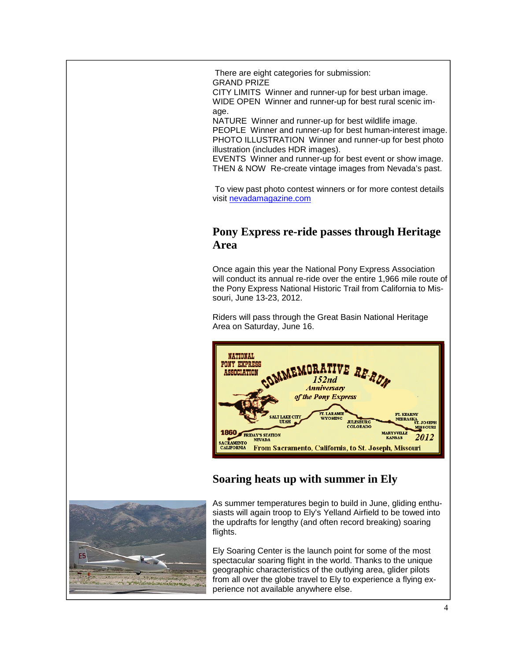There are eight categories for submission: GRAND PRIZE

CITY LIMITS Winner and runner-up for best urban image. WIDE OPEN Winner and runner-up for best rural scenic image.

NATURE Winner and runner-up for best wildlife image.

PEOPLE Winner and runner-up for best human-interest image. PHOTO ILLUSTRATION Winner and runner-up for best photo illustration (includes HDR images).

EVENTS Winner and runner-up for best event or show image. THEN & NOW Re-create vintage images from Nevada's past.

 To view past photo contest winners or for more contest details visit nevadamagazine.com

#### **Pony Express re-ride passes through Heritage Area**

Once again this year the National Pony Express Association will conduct its annual re-ride over the entire 1,966 mile route of the Pony Express National Historic Trail from California to Missouri, June 13-23, 2012.

Riders will pass through the Great Basin National Heritage Area on Saturday, June 16.



### **Soaring heats up with summer in Ely**



As summer temperatures begin to build in June, gliding enthusiasts will again troop to Ely's Yelland Airfield to be towed into the updrafts for lengthy (and often record breaking) soaring flights.

Ely Soaring Center is the launch point for some of the most spectacular soaring flight in the world. Thanks to the unique geographic characteristics of the outlying area, glider pilots from all over the globe travel to Ely to experience a flying experience not available anywhere else.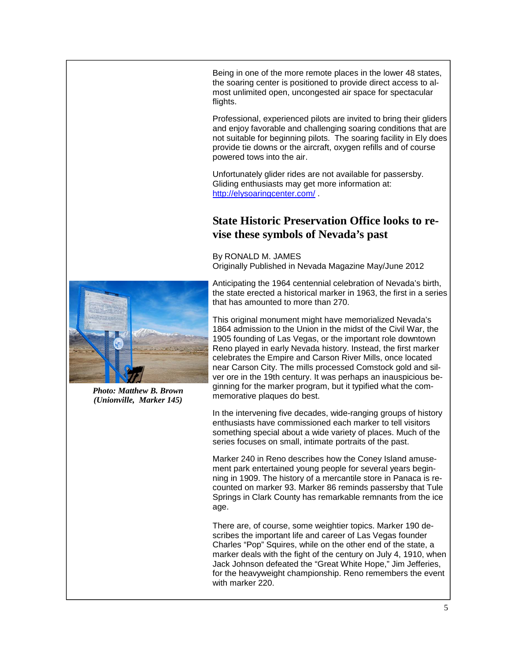Being in one of the more remote places in the lower 48 states, the soaring center is positioned to provide direct access to almost unlimited open, uncongested air space for spectacular flights.

Professional, experienced pilots are invited to bring their gliders and enjoy favorable and challenging soaring conditions that are not suitable for beginning pilots. The soaring facility in Ely does provide tie downs or the aircraft, oxygen refills and of course powered tows into the air.

Unfortunately glider rides are not available for passersby. Gliding enthusiasts may get more information at: http://elysoaringcenter.com/ .

#### **State Historic Preservation Office looks to revise these symbols of Nevada's past**

By RONALD M. JAMES Originally Published in Nevada Magazine May/June 2012



*Photo: Matthew B. Brown (Unionville, Marker 145)* 

Anticipating the 1964 centennial celebration of Nevada's birth, the state erected a historical marker in 1963, the first in a series that has amounted to more than 270.

This original monument might have memorialized Nevada's 1864 admission to the Union in the midst of the Civil War, the 1905 founding of Las Vegas, or the important role downtown Reno played in early Nevada history. Instead, the first marker celebrates the Empire and Carson River Mills, once located near Carson City. The mills processed Comstock gold and silver ore in the 19th century. It was perhaps an inauspicious beginning for the marker program, but it typified what the commemorative plaques do best.

In the intervening five decades, wide-ranging groups of history enthusiasts have commissioned each marker to tell visitors something special about a wide variety of places. Much of the series focuses on small, intimate portraits of the past.

Marker 240 in Reno describes how the Coney Island amusement park entertained young people for several years beginning in 1909. The history of a mercantile store in Panaca is recounted on marker 93. Marker 86 reminds passersby that Tule Springs in Clark County has remarkable remnants from the ice age.

There are, of course, some weightier topics. Marker 190 describes the important life and career of Las Vegas founder Charles "Pop" Squires, while on the other end of the state, a marker deals with the fight of the century on July 4, 1910, when Jack Johnson defeated the "Great White Hope," Jim Jefferies, for the heavyweight championship. Reno remembers the event with marker 220.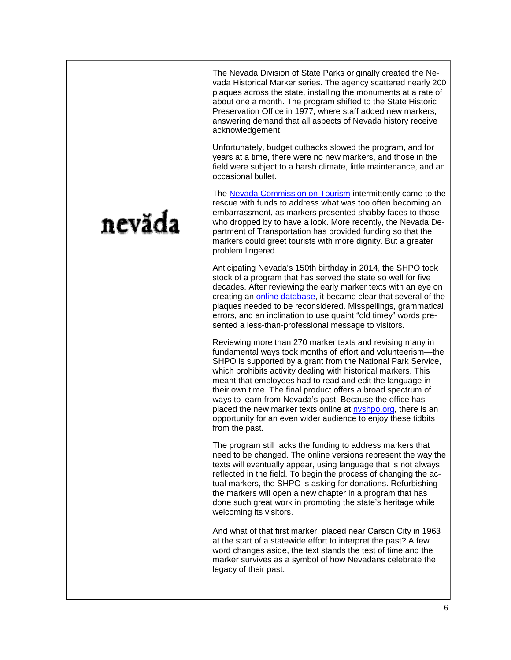The Nevada Division of State Parks originally created the Nevada Historical Marker series. The agency scattered nearly 200 plaques across the state, installing the monuments at a rate of about one a month. The program shifted to the State Historic Preservation Office in 1977, where staff added new markers, answering demand that all aspects of Nevada history receive acknowledgement.

Unfortunately, budget cutbacks slowed the program, and for years at a time, there were no new markers, and those in the field were subject to a harsh climate, little maintenance, and an occasional bullet.

The Nevada Commission on Tourism intermittently came to the rescue with funds to address what was too often becoming an embarrassment, as markers presented shabby faces to those who dropped by to have a look. More recently, the Nevada Department of Transportation has provided funding so that the markers could greet tourists with more dignity. But a greater problem lingered.

Anticipating Nevada's 150th birthday in 2014, the SHPO took stock of a program that has served the state so well for five decades. After reviewing the early marker texts with an eye on creating an online database, it became clear that several of the plaques needed to be reconsidered. Misspellings, grammatical errors, and an inclination to use quaint "old timey" words presented a less-than-professional message to visitors.

Reviewing more than 270 marker texts and revising many in fundamental ways took months of effort and volunteerism—the SHPO is supported by a grant from the National Park Service, which prohibits activity dealing with historical markers. This meant that employees had to read and edit the language in their own time. The final product offers a broad spectrum of ways to learn from Nevada's past. Because the office has placed the new marker texts online at nyshpo.org, there is an opportunity for an even wider audience to enjoy these tidbits from the past.

The program still lacks the funding to address markers that need to be changed. The online versions represent the way the texts will eventually appear, using language that is not always reflected in the field. To begin the process of changing the actual markers, the SHPO is asking for donations. Refurbishing the markers will open a new chapter in a program that has done such great work in promoting the state's heritage while welcoming its visitors.

And what of that first marker, placed near Carson City in 1963 at the start of a statewide effort to interpret the past? A few word changes aside, the text stands the test of time and the marker survives as a symbol of how Nevadans celebrate the legacy of their past.

# nevăda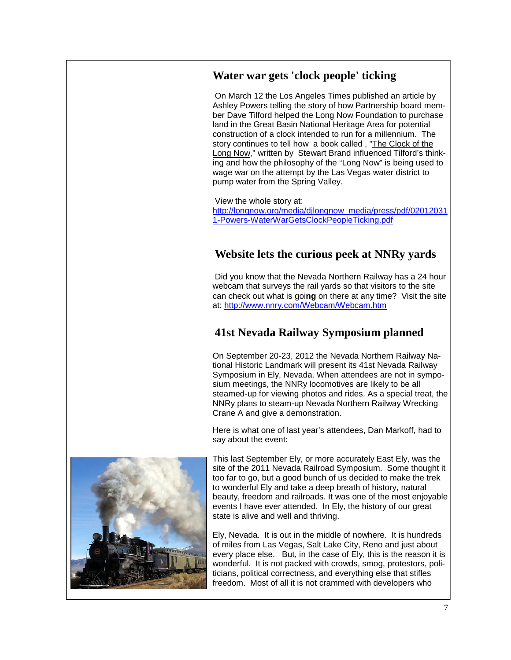### **Water war gets 'clock people' ticking**

 On March 12 the Los Angeles Times published an article by Ashley Powers telling the story of how Partnership board member Dave Tilford helped the Long Now Foundation to purchase land in the Great Basin National Heritage Area for potential construction of a clock intended to run for a millennium. The story continues to tell how a book called , "The Clock of the Long Now," written by Stewart Brand influenced Tilford's thinking and how the philosophy of the "Long Now" is being used to wage war on the attempt by the Las Vegas water district to pump water from the Spring Valley.

 View the whole story at: http://longnow.org/media/djlongnow\_media/press/pdf/02012031 1-Powers-WaterWarGetsClockPeopleTicking.pdf

## **Website lets the curious peek at NNRy yards**

 Did you know that the Nevada Northern Railway has a 24 hour webcam that surveys the rail yards so that visitors to the site can check out what is goi**ng** on there at any time? Visit the site at: http://www.nnry.com/Webcam/Webcam.htm

### **41st Nevada Railway Symposium planned**

On September 20-23, 2012 the Nevada Northern Railway National Historic Landmark will present its 41st Nevada Railway Symposium in Ely, Nevada. When attendees are not in symposium meetings, the NNRy locomotives are likely to be all steamed-up for viewing photos and rides. As a special treat, the NNRy plans to steam-up Nevada Northern Railway Wrecking Crane A and give a demonstration.

Here is what one of last year's attendees, Dan Markoff, had to say about the event:

This last September Ely, or more accurately East Ely, was the site of the 2011 Nevada Railroad Symposium. Some thought it too far to go, but a good bunch of us decided to make the trek to wonderful Ely and take a deep breath of history, natural beauty, freedom and railroads. It was one of the most enjoyable events I have ever attended. In Ely, the history of our great state is alive and well and thriving.

Ely, Nevada. It is out in the middle of nowhere. It is hundreds of miles from Las Vegas, Salt Lake City, Reno and just about every place else. But, in the case of Ely, this is the reason it is wonderful. It is not packed with crowds, smog, protestors, politicians, political correctness, and everything else that stifles freedom. Most of all it is not crammed with developers who

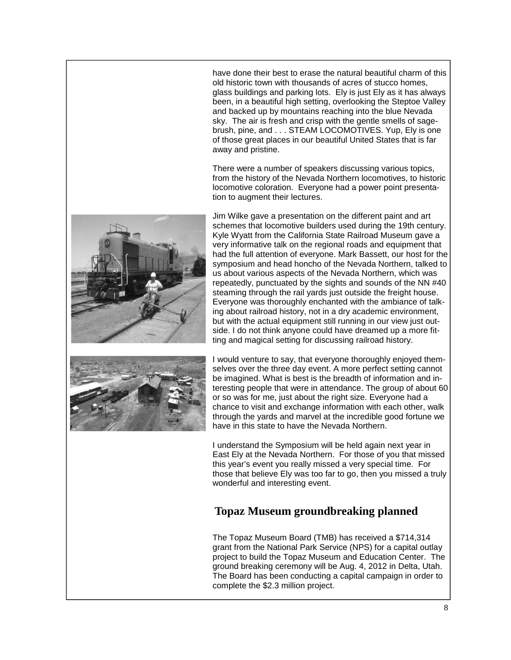have done their best to erase the natural beautiful charm of this old historic town with thousands of acres of stucco homes, glass buildings and parking lots. Ely is just Ely as it has always been, in a beautiful high setting, overlooking the Steptoe Valley and backed up by mountains reaching into the blue Nevada sky. The air is fresh and crisp with the gentle smells of sagebrush, pine, and . . . STEAM LOCOMOTIVES. Yup, Ely is one of those great places in our beautiful United States that is far away and pristine.

There were a number of speakers discussing various topics, from the history of the Nevada Northern locomotives, to historic locomotive coloration. Everyone had a power point presentation to augment their lectures.



Jim Wilke gave a presentation on the different paint and art schemes that locomotive builders used during the 19th century. Kyle Wyatt from the California State Railroad Museum gave a very informative talk on the regional roads and equipment that had the full attention of everyone. Mark Bassett, our host for the symposium and head honcho of the Nevada Northern, talked to us about various aspects of the Nevada Northern, which was repeatedly, punctuated by the sights and sounds of the NN #40 steaming through the rail yards just outside the freight house. Everyone was thoroughly enchanted with the ambiance of talking about railroad history, not in a dry academic environment, but with the actual equipment still running in our view just outside. I do not think anyone could have dreamed up a more fitting and magical setting for discussing railroad history.



I would venture to say, that everyone thoroughly enjoyed themselves over the three day event. A more perfect setting cannot be imagined. What is best is the breadth of information and interesting people that were in attendance. The group of about 60 or so was for me, just about the right size. Everyone had a chance to visit and exchange information with each other, walk through the yards and marvel at the incredible good fortune we have in this state to have the Nevada Northern.

I understand the Symposium will be held again next year in East Ely at the Nevada Northern. For those of you that missed this year's event you really missed a very special time. For those that believe Ely was too far to go, then you missed a truly wonderful and interesting event.

### **Topaz Museum groundbreaking planned**

The Topaz Museum Board (TMB) has received a \$714,314 grant from the National Park Service (NPS) for a capital outlay project to build the Topaz Museum and Education Center. The ground breaking ceremony will be Aug. 4, 2012 in Delta, Utah. The Board has been conducting a capital campaign in order to complete the \$2.3 million project.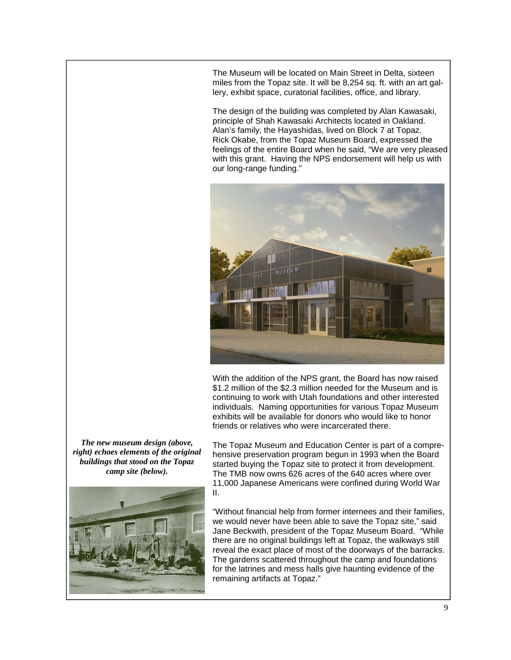The Museum will be located on Main Street in Delta, sixteen miles from the Topaz site. It will be 8,254 sq. ft. with an art gallery, exhibit space, curatorial facilities, office, and library.

The design of the building was completed by Alan Kawasaki, principle of Shah Kawasaki Architects located in Oakland. Alan's family, the Hayashidas, lived on Block 7 at Topaz. Rick Okabe, from the Topaz Museum Board, expressed the feelings of the entire Board when he said, "We are very pleased with this grant. Having the NPS endorsement will help us with our long-range funding."



With the addition of the NPS grant, the Board has now raised \$1.2 million of the \$2.3 million needed for the Museum and is continuing to work with Utah foundations and other interested individuals. Naming opportunities for various Topaz Museum exhibits will be available for donors who would like to honor friends or relatives who were incarcerated there.

*The new museum design (above, right) echoes elements of the original buildings that stood on the Topaz camp site (below).* 



The Topaz Museum and Education Center is part of a comprehensive preservation program begun in 1993 when the Board started buying the Topaz site to protect it from development. The TMB now owns 626 acres of the 640 acres where over 11,000 Japanese Americans were confined during World War II.

"Without financial help from former internees and their families, we would never have been able to save the Topaz site," said Jane Beckwith, president of the Topaz Museum Board. "While there are no original buildings left at Topaz, the walkways still reveal the exact place of most of the doorways of the barracks. The gardens scattered throughout the camp and foundations for the latrines and mess halls give haunting evidence of the remaining artifacts at Topaz."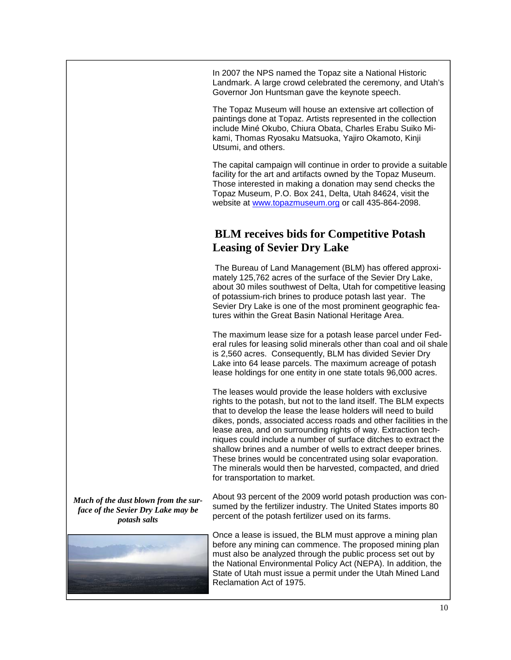In 2007 the NPS named the Topaz site a National Historic Landmark. A large crowd celebrated the ceremony, and Utah's Governor Jon Huntsman gave the keynote speech.

The Topaz Museum will house an extensive art collection of paintings done at Topaz. Artists represented in the collection include Miné Okubo, Chiura Obata, Charles Erabu Suiko Mikami, Thomas Ryosaku Matsuoka, Yajiro Okamoto, Kinji Utsumi, and others.

The capital campaign will continue in order to provide a suitable facility for the art and artifacts owned by the Topaz Museum. Those interested in making a donation may send checks the Topaz Museum, P.O. Box 241, Delta, Utah 84624, visit the website at www.topazmuseum.org or call 435-864-2098.

#### **BLM receives bids for Competitive Potash Leasing of Sevier Dry Lake**

 The Bureau of Land Management (BLM) has offered approximately 125,762 acres of the surface of the Sevier Dry Lake, about 30 miles southwest of Delta, Utah for competitive leasing of potassium-rich brines to produce potash last year. The Sevier Dry Lake is one of the most prominent geographic features within the Great Basin National Heritage Area.

The maximum lease size for a potash lease parcel under Federal rules for leasing solid minerals other than coal and oil shale is 2,560 acres. Consequently, BLM has divided Sevier Dry Lake into 64 lease parcels. The maximum acreage of potash lease holdings for one entity in one state totals 96,000 acres.

The leases would provide the lease holders with exclusive rights to the potash, but not to the land itself. The BLM expects that to develop the lease the lease holders will need to build dikes, ponds, associated access roads and other facilities in the lease area, and on surrounding rights of way. Extraction techniques could include a number of surface ditches to extract the shallow brines and a number of wells to extract deeper brines. These brines would be concentrated using solar evaporation. The minerals would then be harvested, compacted, and dried for transportation to market.

*Much of the dust blown from the surface of the Sevier Dry Lake may be potash salts* 



About 93 percent of the 2009 world potash production was consumed by the fertilizer industry. The United States imports 80 percent of the potash fertilizer used on its farms.

Once a lease is issued, the BLM must approve a mining plan before any mining can commence. The proposed mining plan must also be analyzed through the public process set out by the National Environmental Policy Act (NEPA). In addition, the State of Utah must issue a permit under the Utah Mined Land Reclamation Act of 1975.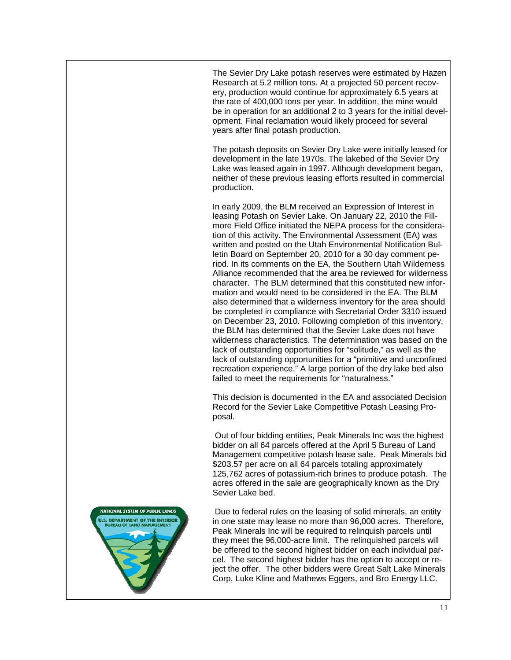The Sevier Dry Lake potash reserves were estimated by Hazen Research at 5.2 million tons. At a projected 50 percent recovery, production would continue for approximately 6.5 years at the rate of 400,000 tons per year. In addition, the mine would be in operation for an additional 2 to 3 years for the initial development. Final reclamation would likely proceed for several years after final potash production.

The potash deposits on Sevier Dry Lake were initially leased for development in the late 1970s. The lakebed of the Sevier Dry Lake was leased again in 1997. Although development began, neither of these previous leasing efforts resulted in commercial production.

In early 2009, the BLM received an Expression of Interest in leasing Potash on Sevier Lake. On January 22, 2010 the Fillmore Field Office initiated the NEPA process for the consideration of this activity. The Environmental Assessment (EA) was written and posted on the Utah Environmental Notification Bulletin Board on September 20, 2010 for a 30 day comment period. In its comments on the EA, the Southern Utah Wilderness Alliance recommended that the area be reviewed for wilderness character. The BLM determined that this constituted new information and would need to be considered in the EA. The BLM also determined that a wilderness inventory for the area should be completed in compliance with Secretarial Order 3310 issued on December 23, 2010. Following completion of this inventory, the BLM has determined that the Sevier Lake does not have wilderness characteristics. The determination was based on the lack of outstanding opportunities for "solitude," as well as the lack of outstanding opportunities for a "primitive and unconfined recreation experience." A large portion of the dry lake bed also failed to meet the requirements for "naturalness."

This decision is documented in the EA and associated Decision Record for the Sevier Lake Competitive Potash Leasing Proposal.

 Out of four bidding entities, Peak Minerals Inc was the highest bidder on all 64 parcels offered at the April 5 Bureau of Land Management competitive potash lease sale. Peak Minerals bid \$203.57 per acre on all 64 parcels totaling approximately 125,762 acres of potassium-rich brines to produce potash. The acres offered in the sale are geographically known as the Dry Sevier Lake bed.

 Due to federal rules on the leasing of solid minerals, an entity in one state may lease no more than 96,000 acres. Therefore, Peak Minerals Inc will be required to relinquish parcels until they meet the 96,000-acre limit. The relinquished parcels will be offered to the second highest bidder on each individual parcel. The second highest bidder has the option to accept or reject the offer. The other bidders were Great Salt Lake Minerals Corp, Luke Kline and Mathews Eggers, and Bro Energy LLC.

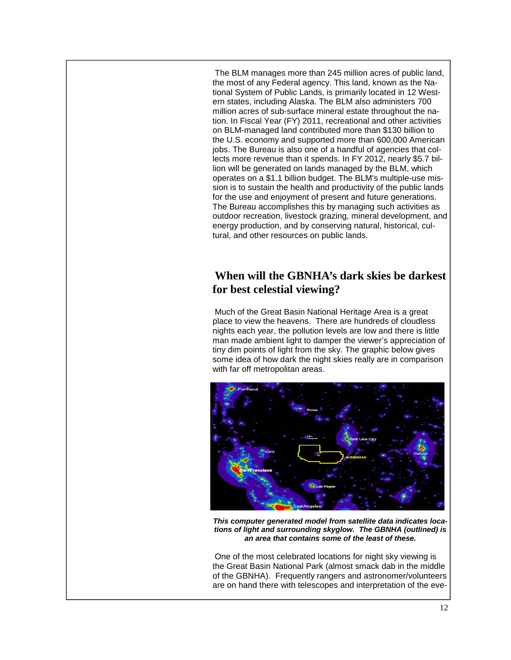The BLM manages more than 245 million acres of public land, the most of any Federal agency. This land, known as the National System of Public Lands, is primarily located in 12 Western states, including Alaska. The BLM also administers 700 million acres of sub-surface mineral estate throughout the nation. In Fiscal Year (FY) 2011, recreational and other activities on BLM-managed land contributed more than \$130 billion to the U.S. economy and supported more than 600,000 American jobs. The Bureau is also one of a handful of agencies that collects more revenue than it spends. In FY 2012, nearly \$5.7 billion will be generated on lands managed by the BLM, which operates on a \$1.1 billion budget. The BLM's multiple-use mission is to sustain the health and productivity of the public lands for the use and enjoyment of present and future generations. The Bureau accomplishes this by managing such activities as outdoor recreation, livestock grazing, mineral development, and energy production, and by conserving natural, historical, cultural, and other resources on public lands.

#### **When will the GBNHA's dark skies be darkest for best celestial viewing?**

Much of the Great Basin National Heritage Area is a great place to view the heavens. There are hundreds of cloudless nights each year, the pollution levels are low and there is little man made ambient light to damper the viewer's appreciation of tiny dim points of light from the sky. The graphic below gives some idea of how dark the night skies really are in comparison with far off metropolitan areas.



*This computer generated model from satellite data indicates locations of light and surrounding skyglow. The GBNHA (outlined) is an area that contains some of the least of these.* 

One of the most celebrated locations for night sky viewing is the Great Basin National Park (almost smack dab in the middle of the GBNHA). Frequently rangers and astronomer/volunteers are on hand there with telescopes and interpretation of the eve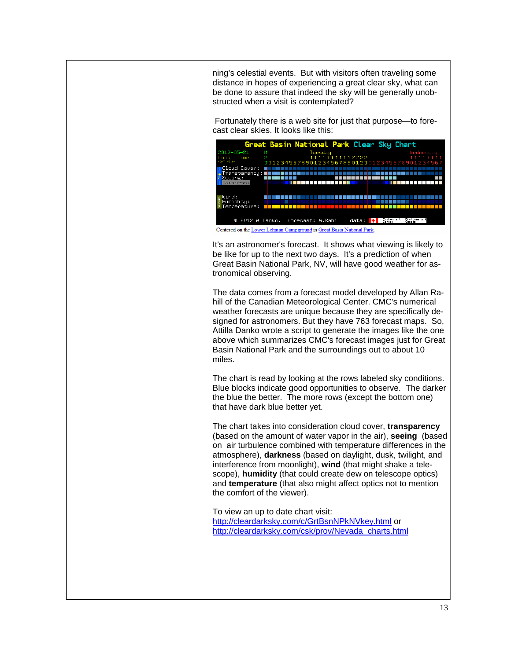ning's celestial events. But with visitors often traveling some distance in hopes of experiencing a great clear sky, what can be done to assure that indeed the sky will be generally unobstructed when a visit is contemplated?

 Fortunately there is a web site for just that purpose—to forecast clear skies. It looks like this:



Centered on the Lower Lehman Campground in Great Basin National Park.

It's an astronomer's forecast. It shows what viewing is likely to be like for up to the next two days. It's a prediction of when Great Basin National Park, NV, will have good weather for astronomical observing.

The data comes from a forecast model developed by Allan Rahill of the Canadian Meteorological Center. CMC's numerical weather forecasts are unique because they are specifically designed for astronomers. But they have 763 forecast maps. So, Attilla Danko wrote a script to generate the images like the one above which summarizes CMC's forecast images just for Great Basin National Park and the surroundings out to about 10 miles.

The chart is read by looking at the rows labeled sky conditions. Blue blocks indicate good opportunities to observe. The darker the blue the better. The more rows (except the bottom one) that have dark blue better yet.

The chart takes into consideration cloud cover, **transparency**  (based on the amount of water vapor in the air), **seeing** (based on air turbulence combined with temperature differences in the atmosphere), **darkness** (based on daylight, dusk, twilight, and interference from moonlight), **wind** (that might shake a telescope), **humidity** (that could create dew on telescope optics) and **temperature** (that also might affect optics not to mention the comfort of the viewer).

To view an up to date chart visit: http://cleardarksky.com/c/GrtBsnNPkNVkey.html or http://cleardarksky.com/csk/prov/Nevada\_charts.html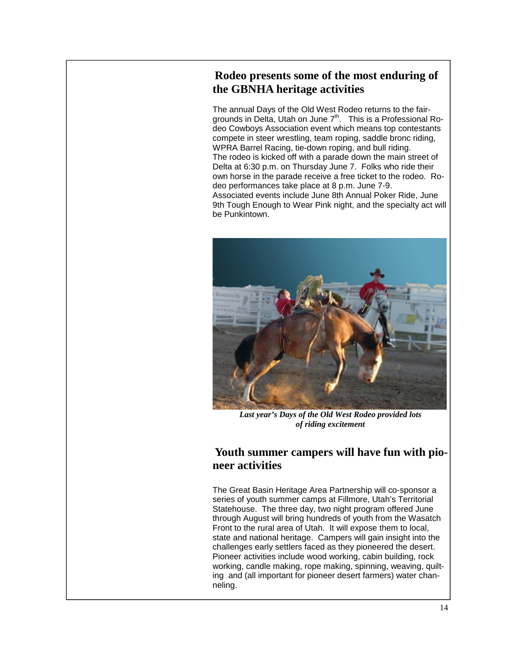### **Rodeo presents some of the most enduring of the GBNHA heritage activities**

The annual Days of the Old West Rodeo returns to the fairgrounds in Delta, Utah on June  $7<sup>th</sup>$ . This is a Professional Rodeo Cowboys Association event which means top contestants compete in steer wrestling, team roping, saddle bronc riding, WPRA Barrel Racing, tie-down roping, and bull riding. The rodeo is kicked off with a parade down the main street of Delta at 6:30 p.m. on Thursday June 7. Folks who ride their own horse in the parade receive a free ticket to the rodeo. Rodeo performances take place at 8 p.m. June 7-9. Associated events include June 8th Annual Poker Ride, June 9th Tough Enough to Wear Pink night, and the specialty act will be Punkintown.



*Last year's Days of the Old West Rodeo provided lots of riding excitement* 

#### **Youth summer campers will have fun with pioneer activities**

The Great Basin Heritage Area Partnership will co-sponsor a series of youth summer camps at Fillmore, Utah's Territorial Statehouse. The three day, two night program offered June through August will bring hundreds of youth from the Wasatch Front to the rural area of Utah. It will expose them to local, state and national heritage. Campers will gain insight into the challenges early settlers faced as they pioneered the desert. Pioneer activities include wood working, cabin building, rock working, candle making, rope making, spinning, weaving, quilting and (all important for pioneer desert farmers) water channeling.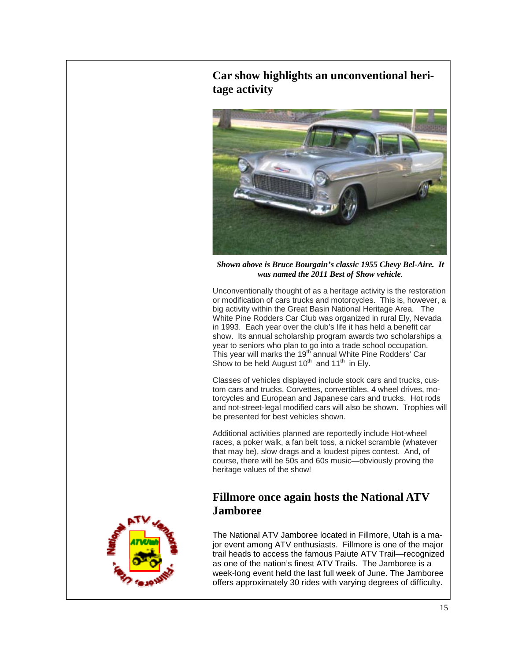## **Car show highlights an unconventional heritage activity**



*Shown above is Bruce Bourgain's classic 1955 Chevy Bel-Aire. It was named the 2011 Best of Show vehicle.* 

Unconventionally thought of as a heritage activity is the restoration or modification of cars trucks and motorcycles. This is, however, a big activity within the Great Basin National Heritage Area. The White Pine Rodders Car Club was organized in rural Ely, Nevada in 1993. Each year over the club's life it has held a benefit car show. Its annual scholarship program awards two scholarships a year to seniors who plan to go into a trade school occupation. This year will marks the 19<sup>th</sup> annual White Pine Rodders' Car Show to be held August  $10^{th}$  and  $11^{th}$  in Ely.

Classes of vehicles displayed include stock cars and trucks, custom cars and trucks, Corvettes, convertibles, 4 wheel drives, motorcycles and European and Japanese cars and trucks. Hot rods and not-street-legal modified cars will also be shown. Trophies will be presented for best vehicles shown.

Additional activities planned are reportedly include Hot-wheel races, a poker walk, a fan belt toss, a nickel scramble (whatever that may be), slow drags and a loudest pipes contest. And, of course, there will be 50s and 60s music—obviously proving the heritage values of the show!

#### **Fillmore once again hosts the National ATV Jamboree**